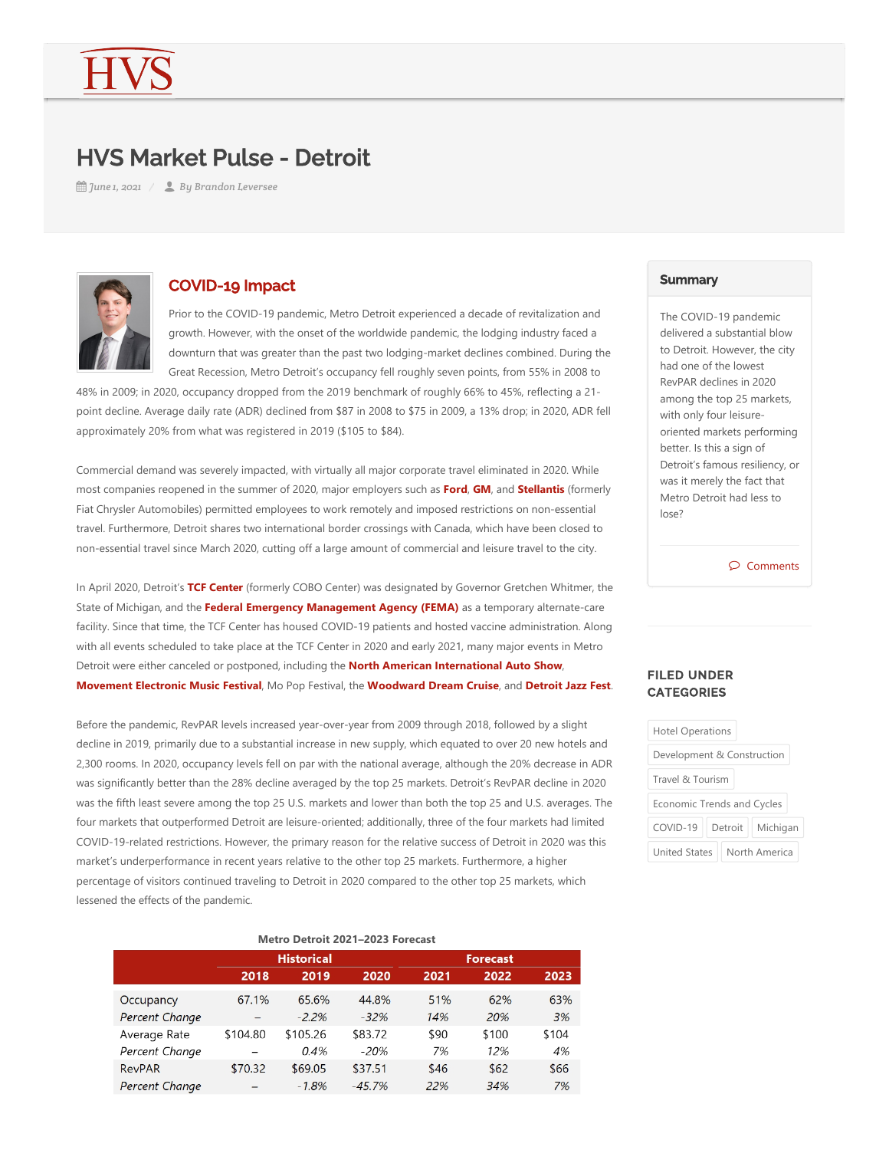# HVS Market Pulse - Detroit

*June 1, 2021 By Brandon Leversee*



# COVID-19 Impact

Prior to the COVID‐19 pandemic, Metro Detroit experienced a decade of revitalization and growth. However, with the onset of the worldwide pandemic, the lodging industry faced a downturn that was greater than the past two lodging‐market declines combined. During the Great Recession, Metro Detroit's occupancy fell roughly seven points, from 55% in 2008 to

48% in 2009; in 2020, occupancy dropped from the 2019 benchmark of roughly 66% to 45%, reflecting a 21‐ point decline. Average daily rate (ADR) declined from \$87 in 2008 to \$75 in 2009, a 13% drop; in 2020, ADR fell approximately 20% from what was registered in 2019 (\$105 to \$84).

Commercial demand was severely impacted, with virtually all major corporate travel eliminated in 2020. While most companies reopened in the summer of 2020, major employers such as **Ford, GM**, and **Stellantis** (formerly Fiat Chrysler Automobiles) permitted employees to work remotely and imposed restrictions on non-essential travel. Furthermore, Detroit shares two international border crossings with Canada, which have been closed to non‐essential travel since March 2020, cutting off a large amount of commercial and leisure travel to the city.

In April 2020, Detroit's TCF Center (formerly COBO Center) was designated by Governor Gretchen Whitmer, the State of Michigan, and the Federal Emergency Management Agency (FEMA) as a temporary alternate-care facility. Since that time, the TCF Center has housed COVID‐19 patients and hosted vaccine administration. Along with all events scheduled to take place at the TCF Center in 2020 and early 2021, many major events in Metro Detroit were either canceled or postponed, including the **North American International Auto Show**, **Movement Electronic Music Festival**, Mo Pop Festival, the **Woodward Dream Cruise**, and **Detroit Jazz Fest**.

Before the pandemic, RevPAR levels increased year‐over‐year from 2009 through 2018, followed by a slight decline in 2019, primarily due to a substantial increase in new supply, which equated to over 20 new hotels and 2,300 rooms. In 2020, occupancy levels fell on par with the national average, although the 20% decrease in ADR was significantly better than the 28% decline averaged by the top 25 markets. Detroit's RevPAR decline in 2020 was the fifth least severe among the top 25 U.S. markets and lower than both the top 25 and U.S. averages. The four markets that outperformed Detroit are leisure‐oriented; additionally, three of the four markets had limited COVID‐19‐related restrictions. However, the primary reason for the relative success of Detroit in 2020 was this market's underperformance in recent years relative to the other top 25 markets. Furthermore, a higher percentage of visitors continued traveling to Detroit in 2020 compared to the other top 25 markets, which lessened the effects of the pandemic.

| Metro Detroit 2021-2023 Forecast |                   |          |          |                 |       |       |  |
|----------------------------------|-------------------|----------|----------|-----------------|-------|-------|--|
|                                  | <b>Historical</b> |          |          | <b>Forecast</b> |       |       |  |
|                                  | 2018              | 2019     | 2020     | 2021            | 2022  | 2023  |  |
| Occupancy                        | 67.1%             | 65.6%    | 44.8%    | 51%             | 62%   | 63%   |  |
| Percent Change                   |                   | $-2.2%$  | $-32%$   | 14%             | 20%   | 3%    |  |
| Average Rate                     | \$104.80          | \$105.26 | \$83.72  | \$90            | \$100 | \$104 |  |
| Percent Change                   |                   | 0.4%     | $-20%$   | 7%              | 12%   | 4%    |  |
| <b>RevPAR</b>                    | \$70.32           | \$69.05  | \$37.51  | \$46            | \$62  | \$66  |  |
| Percent Change                   |                   | $-1.8%$  | $-45.7%$ | 22%             | 34%   | 7%    |  |

### **Summary**

The COVID‐19 pandemic delivered a substantial blow to Detroit. However, the city had one of the lowest RevPAR declines in 2020 among the top 25 markets, with only four leisure‐ oriented markets performing better. Is this a sign of Detroit's famous resiliency, or was it merely the fact that Metro Detroit had less to lose?

Comments

## FILED UNDER **CATEGORIES**

| <b>Hotel Operations</b>           |  |                    |  |  |  |  |
|-----------------------------------|--|--------------------|--|--|--|--|
| Development & Construction        |  |                    |  |  |  |  |
| Travel & Tourism                  |  |                    |  |  |  |  |
| <b>Economic Trends and Cycles</b> |  |                    |  |  |  |  |
| COVID-19                          |  | Detroit   Michigan |  |  |  |  |
| <b>United States</b>              |  | North America      |  |  |  |  |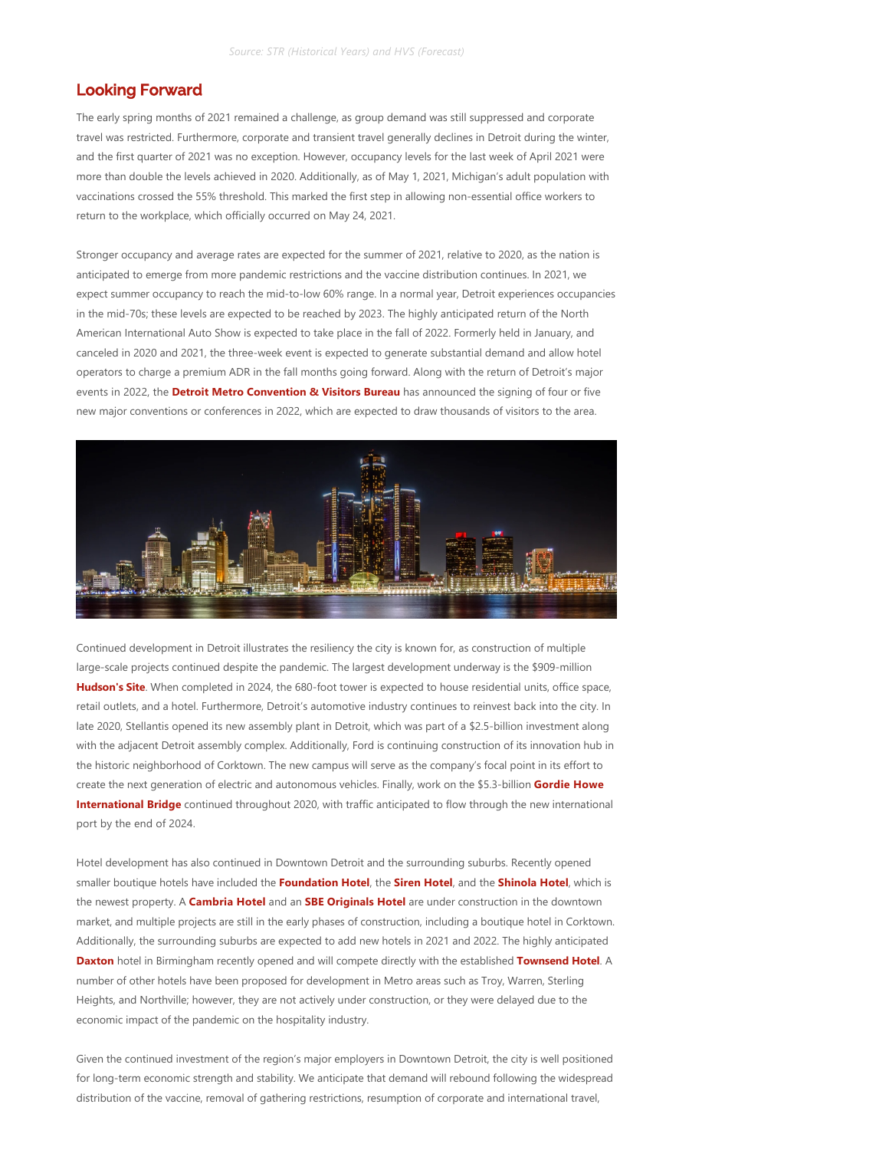# Looking Forward

The early spring months of 2021 remained a challenge, as group demand was still suppressed and corporate travel was restricted. Furthermore, corporate and transient travel generally declines in Detroit during the winter, and the first quarter of 2021 was no exception. However, occupancy levels for the last week of April 2021 were more than double the levels achieved in 2020. Additionally, as of May 1, 2021, Michigan's adult population with vaccinations crossed the 55% threshold. This marked the first step in allowing non‐essential office workers to return to the workplace, which officially occurred on May 24, 2021.

Stronger occupancy and average rates are expected for the summer of 2021, relative to 2020, as the nation is anticipated to emerge from more pandemic restrictions and the vaccine distribution continues. In 2021, we expect summer occupancy to reach the mid‐to‐low 60% range. In a normal year, Detroit experiences occupancies in the mid‐70s; these levels are expected to be reached by 2023. The highly anticipated return of the North American International Auto Show is expected to take place in the fall of 2022. Formerly held in January, and canceled in 2020 and 2021, the three-week event is expected to generate substantial demand and allow hotel operators to charge a premium ADR in the fall months going forward. Along with the return of Detroit's major events in 2022, the **Detroit Metro Convention & Visitors Bureau** has announced the signing of four or five new major conventions or conferences in 2022, which are expected to draw thousands of visitors to the area.



Continued development in Detroit illustrates the resiliency the city is known for, as construction of multiple large-scale projects continued despite the pandemic. The largest development underway is the \$909-million **Hudson's Site**. When completed in 2024, the 680‐foot tower is expected to house residential units, office space, retail outlets, and a hotel. Furthermore, Detroit's automotive industry continues to reinvest back into the city. In late 2020, Stellantis opened its new assembly plant in Detroit, which was part of a \$2.5‐billion investment along with the adjacent Detroit assembly complex. Additionally, Ford is continuing construction of its innovation hub in the historic neighborhood of Corktown. The new campus will serve as the company's focal point in its effort to create the next generation of electric and autonomous vehicles. Finally, work on the \$5.3‐billion **Gordie Howe International Bridge** continued throughout 2020, with traffic anticipated to flow through the new international port by the end of 2024.

Hotel development has also continued in Downtown Detroit and the surrounding suburbs. Recently opened smaller boutique hotels have included the **Foundation Hotel**, the **Siren Hotel**, and the **Shinola Hotel**, which is the newest property. A **Cambria Hotel** and an **SBE Originals Hotel** are under construction in the downtown market, and multiple projects are still in the early phases of construction, including a boutique hotel in Corktown. Additionally, the surrounding suburbs are expected to add new hotels in 2021 and 2022. The highly anticipated **Daxton** hotel in Birmingham recently opened and will compete directly with the established **Townsend Hotel**. A number of other hotels have been proposed for development in Metro areas such as Troy, Warren, Sterling Heights, and Northville; however, they are not actively under construction, or they were delayed due to the economic impact of the pandemic on the hospitality industry.

Given the continued investment of the region's major employers in Downtown Detroit, the city is well positioned for long-term economic strength and stability. We anticipate that demand will rebound following the widespread distribution of the vaccine, removal of gathering restrictions, resumption of corporate and international travel,